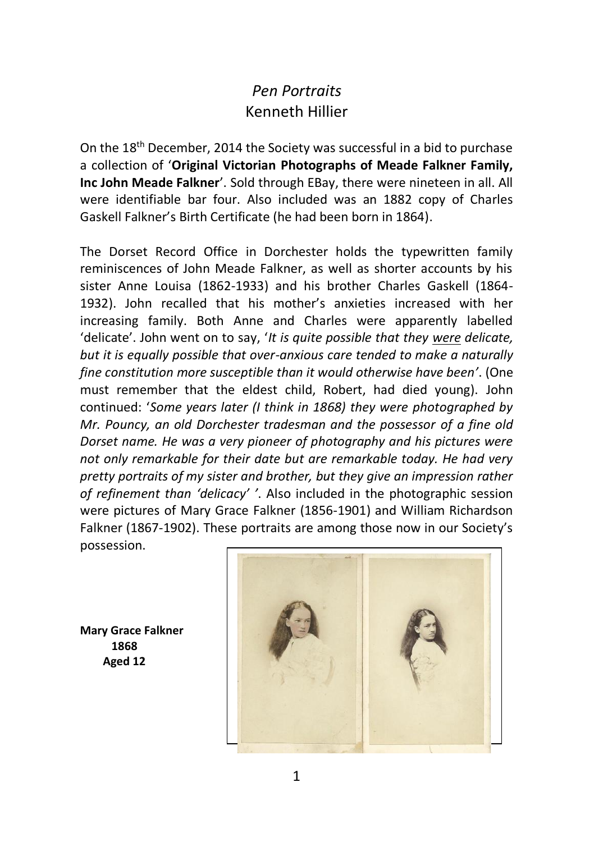## *Pen Portraits* Kenneth Hillier

On the 18th December, 2014 the Society was successful in a bid to purchase a collection of '**Original Victorian Photographs of Meade Falkner Family, Inc John Meade Falkner**'. Sold through EBay, there were nineteen in all. All were identifiable bar four. Also included was an 1882 copy of Charles Gaskell Falkner's Birth Certificate (he had been born in 1864).

The Dorset Record Office in Dorchester holds the typewritten family reminiscences of John Meade Falkner, as well as shorter accounts by his sister Anne Louisa (1862-1933) and his brother Charles Gaskell (1864- 1932). John recalled that his mother's anxieties increased with her increasing family. Both Anne and Charles were apparently labelled 'delicate'. John went on to say, '*It is quite possible that they were delicate, but it is equally possible that over-anxious care tended to make a naturally fine constitution more susceptible than it would otherwise have been'*. (One must remember that the eldest child, Robert, had died young). John continued: '*Some years later (I think in 1868) they were photographed by Mr. Pouncy, an old Dorchester tradesman and the possessor of a fine old Dorset name. He was a very pioneer of photography and his pictures were not only remarkable for their date but are remarkable today. He had very pretty portraits of my sister and brother, but they give an impression rather of refinement than 'delicacy' '*. Also included in the photographic session were pictures of Mary Grace Falkner (1856-1901) and William Richardson Falkner (1867-1902). These portraits are among those now in our Society's possession.

**Mary Grace Falkner 1868 Aged 12**

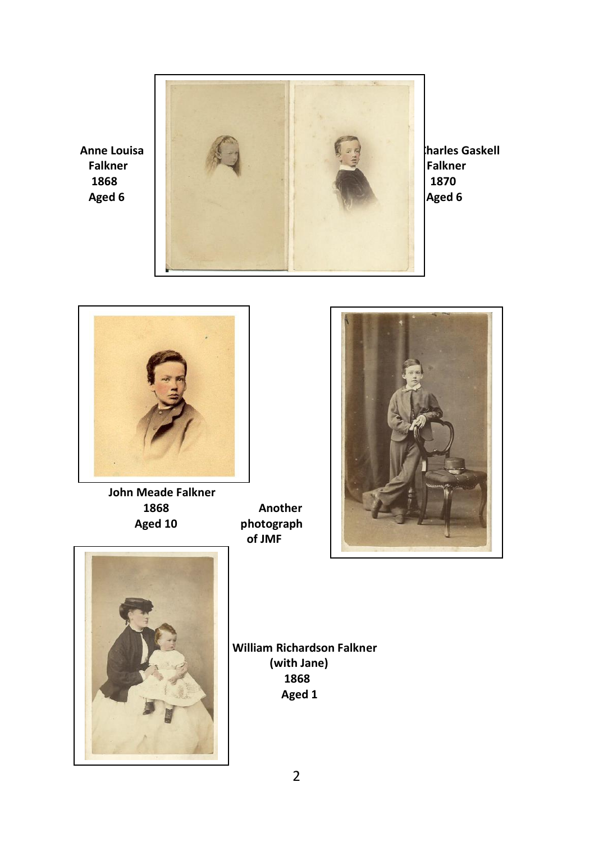



 **John Meade Falkner** 1868 **Another**<br>Aged 10 *photograph* 

photograph  **of JMF**





 **William Richardson Falkner (with Jane) Aged 1**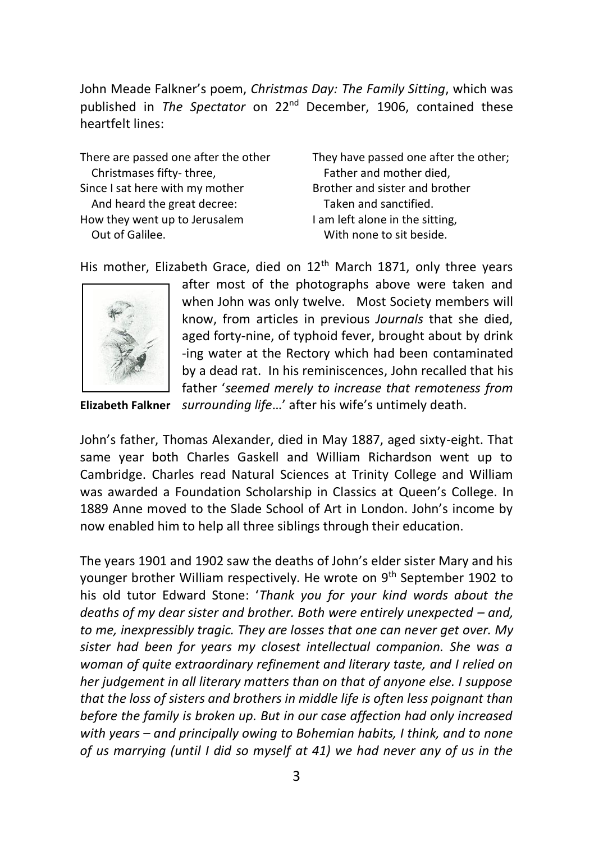John Meade Falkner's poem, *Christmas Day: The Family Sitting*, which was published in *The Spectator* on 22<sup>nd</sup> December, 1906, contained these heartfelt lines:

Christmases fifty- three,<br>
Father and mother and sister and hrother<br>
Rrother and sister and hrother Since I sat here with my mother And heard the great decree: Taken and sanctified. How they went up to Jerusalem I am left alone in the sitting, Out of Galilee. With none to sit beside.

There are passed one after the other They have passed one after the other:

His mother, Elizabeth Grace, died on 12<sup>th</sup> March 1871, only three years



after most of the photographs above were taken and when John was only twelve. Most Society members will know, from articles in previous *Journals* that she died, aged forty-nine, of typhoid fever, brought about by drink -ing water at the Rectory which had been contaminated by a dead rat. In his reminiscences, John recalled that his father '*seemed merely to increase that remoteness from* **Elizabeth Falkner** *surrounding life*…' after his wife's untimely death.

John's father, Thomas Alexander, died in May 1887, aged sixty-eight. That same year both Charles Gaskell and William Richardson went up to Cambridge. Charles read Natural Sciences at Trinity College and William was awarded a Foundation Scholarship in Classics at Queen's College. In 1889 Anne moved to the Slade School of Art in London. John's income by now enabled him to help all three siblings through their education.

The years 1901 and 1902 saw the deaths of John's elder sister Mary and his younger brother William respectively. He wrote on 9th September 1902 to his old tutor Edward Stone: '*Thank you for your kind words about the deaths of my dear sister and brother. Both were entirely unexpected – and, to me, inexpressibly tragic. They are losses that one can never get over. My sister had been for years my closest intellectual companion. She was a woman of quite extraordinary refinement and literary taste, and I relied on her judgement in all literary matters than on that of anyone else. I suppose that the loss of sisters and brothers in middle life is often less poignant than before the family is broken up. But in our case affection had only increased with years – and principally owing to Bohemian habits, I think, and to none of us marrying (until I did so myself at 41) we had never any of us in the*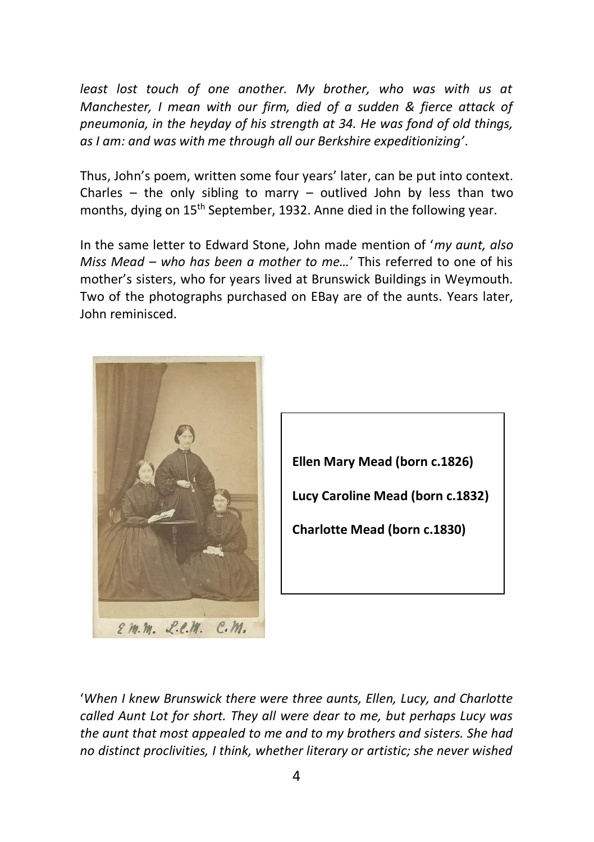*least lost touch of one another. My brother, who was with us at Manchester, I mean with our firm, died of a sudden & fierce attack of pneumonia, in the heyday of his strength at 34. He was fond of old things, as I am: and was with me through all our Berkshire expeditionizing'*.

Thus, John's poem, written some four years' later, can be put into context. Charles – the only sibling to marry – outlived John by less than two months, dying on 15<sup>th</sup> September, 1932. Anne died in the following year.

In the same letter to Edward Stone, John made mention of '*my aunt, also Miss Mead – who has been a mother to me...'* This referred to one of his mother's sisters, who for years lived at Brunswick Buildings in Weymouth. Two of the photographs purchased on EBay are of the aunts. Years later, John reminisced.





'*When I knew Brunswick there were three aunts, Ellen, Lucy, and Charlotte called Aunt Lot for short. They all were dear to me, but perhaps Lucy was the aunt that most appealed to me and to my brothers and sisters. She had no distinct proclivities, I think, whether literary or artistic; she never wished*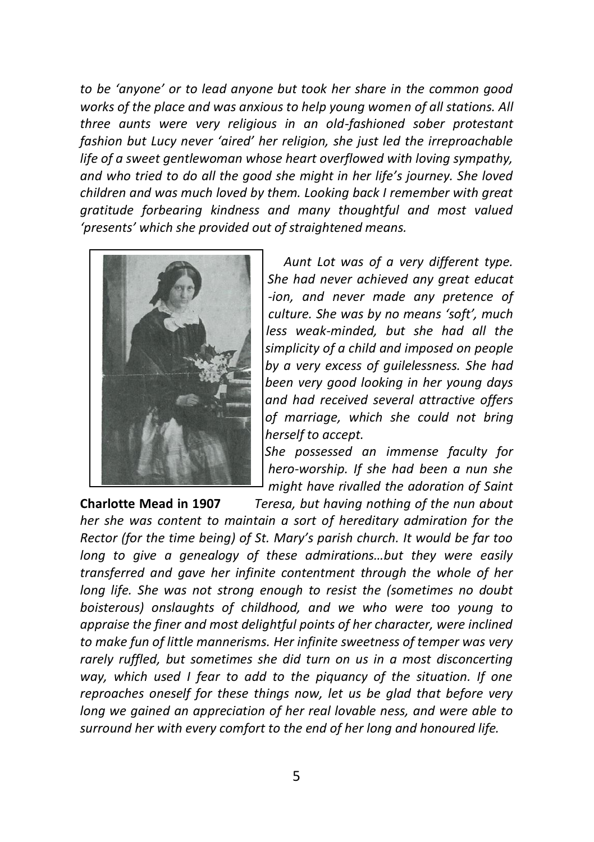*to be 'anyone' or to lead anyone but took her share in the common good works of the place and was anxious to help young women of all stations. All three aunts were very religious in an old-fashioned sober protestant fashion but Lucy never 'aired' her religion, she just led the irreproachable life of a sweet gentlewoman whose heart overflowed with loving sympathy, and who tried to do all the good she might in her life's journey. She loved children and was much loved by them. Looking back I remember with great gratitude forbearing kindness and many thoughtful and most valued 'presents' which she provided out of straightened means.*



 *Aunt Lot was of a very different type. She had never achieved any great educat -ion, and never made any pretence of culture. She was by no means 'soft', much less less weak-minded, but she had all the simplicity of a child and imposed on people by a very excess of guilelessness. She had been very good looking in her young days and had received several attractive offers of marriage, which she could not bring herself to accept.*

 *She possessed an immense faculty for hero-worship. If she had been a nun she might have rivalled the adoration of Saint* 

**Charlotte Mead in 1907** *Teresa, but having nothing of the nun about her she was content to maintain a sort of hereditary admiration for the Rector (for the time being) of St. Mary's parish church. It would be far too long to give a genealogy of these admirations…but they were easily transferred and gave her infinite contentment through the whole of her long life. She was not strong enough to resist the (sometimes no doubt boisterous) onslaughts of childhood, and we who were too young to appraise the finer and most delightful points of her character, were inclined to make fun of little mannerisms. Her infinite sweetness of temper was very rarely ruffled, but sometimes she did turn on us in a most disconcerting way, which used I fear to add to the piquancy of the situation. If one reproaches oneself for these things now, let us be glad that before very long we gained an appreciation of her real lovable ness, and were able to surround her with every comfort to the end of her long and honoured life.*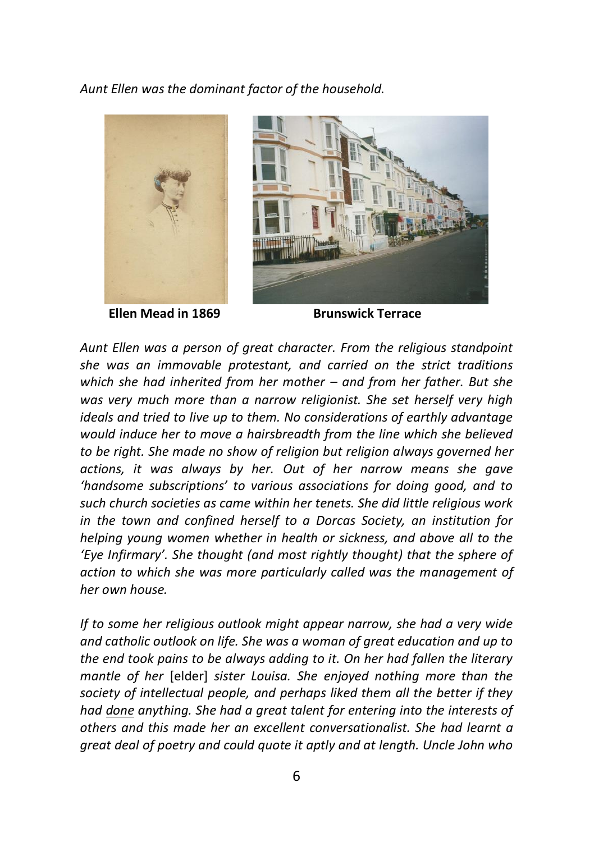*Aunt Ellen was the dominant factor of the household.*



**Ellen Mead in 1869** Brunswick Terrace



*Aunt Ellen was a person of great character. From the religious standpoint she was an immovable protestant, and carried on the strict traditions which she had inherited from her mother – and from her father. But she was very much more than a narrow religionist. She set herself very high ideals and tried to live up to them. No considerations of earthly advantage would induce her to move a hairsbreadth from the line which she believed to be right. She made no show of religion but religion always governed her actions, it was always by her. Out of her narrow means she gave 'handsome subscriptions' to various associations for doing good, and to such church societies as came within her tenets. She did little religious work in the town and confined herself to a Dorcas Society, an institution for helping young women whether in health or sickness, and above all to the 'Eye Infirmary'. She thought (and most rightly thought) that the sphere of action to which she was more particularly called was the management of her own house.*

*If to some her religious outlook might appear narrow, she had a very wide and catholic outlook on life. She was a woman of great education and up to the end took pains to be always adding to it. On her had fallen the literary mantle of her* [elder] *sister Louisa. She enjoyed nothing more than the society of intellectual people, and perhaps liked them all the better if they had done anything. She had a great talent for entering into the interests of others and this made her an excellent conversationalist. She had learnt a great deal of poetry and could quote it aptly and at length. Uncle John who*